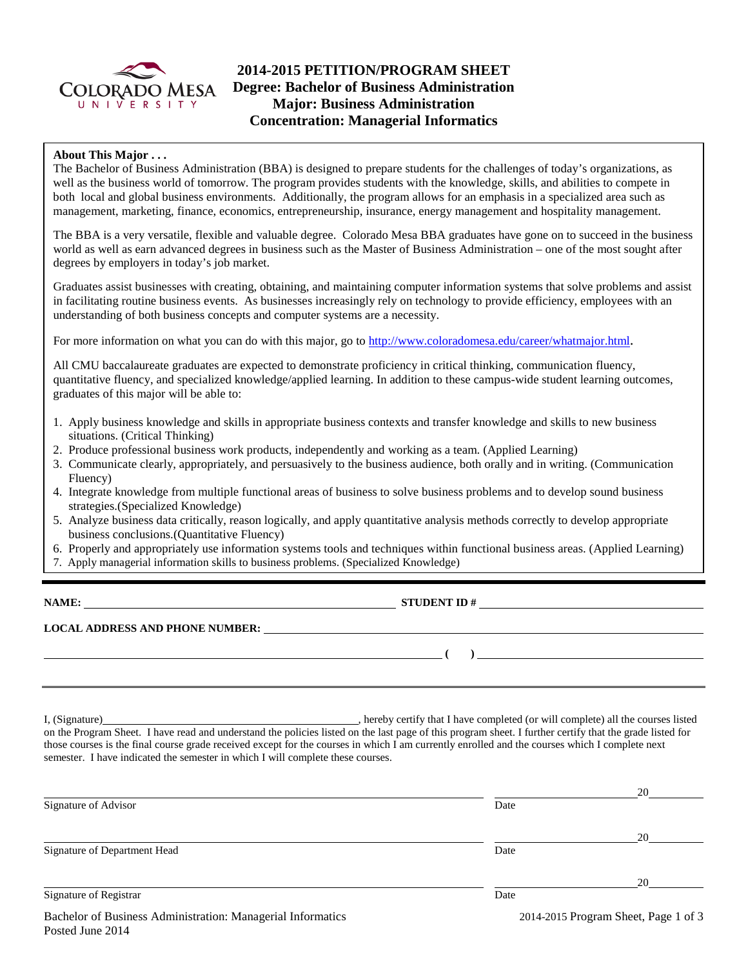

# **2014-2015 PETITION/PROGRAM SHEET Degree: Bachelor of Business Administration Major: Business Administration Concentration: Managerial Informatics**

## **About This Major . . .**

The Bachelor of Business Administration (BBA) is designed to prepare students for the challenges of today's organizations, as well as the business world of tomorrow. The program provides students with the knowledge, skills, and abilities to compete in both local and global business environments. Additionally, the program allows for an emphasis in a specialized area such as management, marketing, finance, economics, entrepreneurship, insurance, energy management and hospitality management.

The BBA is a very versatile, flexible and valuable degree. Colorado Mesa BBA graduates have gone on to succeed in the business world as well as earn advanced degrees in business such as the Master of Business Administration – one of the most sought after degrees by employers in today's job market.

Graduates assist businesses with creating, obtaining, and maintaining computer information systems that solve problems and assist in facilitating routine business events. As businesses increasingly rely on technology to provide efficiency, employees with an understanding of both business concepts and computer systems are a necessity.

For more information on what you can do with this major, go to [http://www.coloradomesa.edu/career/whatmajor.html.](http://www.coloradomesa.edu/career/whatmajor.html)

All CMU baccalaureate graduates are expected to demonstrate proficiency in critical thinking, communication fluency, quantitative fluency, and specialized knowledge/applied learning. In addition to these campus-wide student learning outcomes, graduates of this major will be able to:

- 1. Apply business knowledge and skills in appropriate business contexts and transfer knowledge and skills to new business situations. (Critical Thinking)
- 2. Produce professional business work products, independently and working as a team. (Applied Learning)
- 3. Communicate clearly, appropriately, and persuasively to the business audience, both orally and in writing. (Communication Fluency)
- 4. Integrate knowledge from multiple functional areas of business to solve business problems and to develop sound business strategies.(Specialized Knowledge)
- 5. Analyze business data critically, reason logically, and apply quantitative analysis methods correctly to develop appropriate business conclusions.(Quantitative Fluency)
- 6. Properly and appropriately use information systems tools and techniques within functional business areas. (Applied Learning)
- 7. Apply managerial information skills to business problems. (Specialized Knowledge)

**STUDENT ID #** 

**( )** 

**LOCAL ADDRESS AND PHONE NUMBER:**

I, (Signature) , hereby certify that I have completed (or will complete) all the courses listed on the Program Sheet. I have read and understand the policies listed on the last page of this program sheet. I further certify that the grade listed for those courses is the final course grade received except for the courses in which I am currently enrolled and the courses which I complete next semester. I have indicated the semester in which I will complete these courses.

|                                                                                                                                                                                                    |      | 20 |
|----------------------------------------------------------------------------------------------------------------------------------------------------------------------------------------------------|------|----|
| Signature of Advisor                                                                                                                                                                               | Date |    |
|                                                                                                                                                                                                    |      | 20 |
| Signature of Department Head                                                                                                                                                                       | Date |    |
|                                                                                                                                                                                                    |      | 20 |
| Signature of Registrar                                                                                                                                                                             | Date |    |
| the contract of the contract of the contract of the contract of the contract of the contract of the contract of<br>the contract of the contract of the contract of the contract of the contract of |      |    |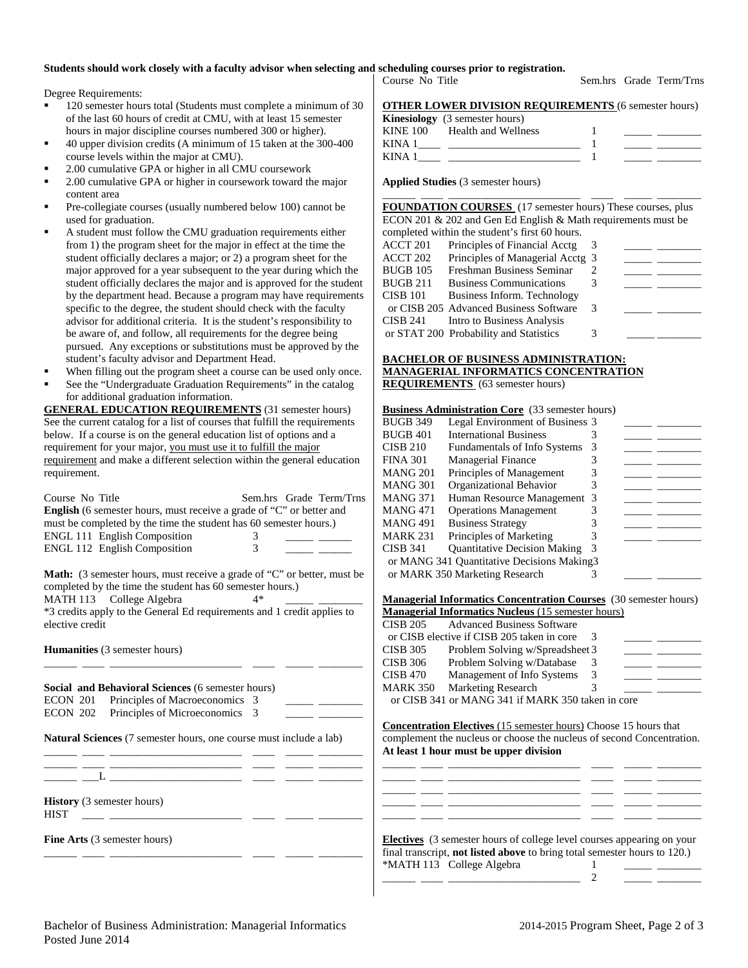# **Students should work closely with a faculty advisor when selecting and scheduling courses prior to registration.**

Degree Requirements:

- 120 semester hours total (Students must complete a minimum of 30 of the last 60 hours of credit at CMU, with at least 15 semester hours in major discipline courses numbered 300 or higher).
- 40 upper division credits (A minimum of 15 taken at the 300-400 course levels within the major at CMU).
- 2.00 cumulative GPA or higher in all CMU coursework
- 2.00 cumulative GPA or higher in coursework toward the major content area
- Pre-collegiate courses (usually numbered below 100) cannot be used for graduation.
- A student must follow the CMU graduation requirements either from 1) the program sheet for the major in effect at the time the student officially declares a major; or 2) a program sheet for the major approved for a year subsequent to the year during which the student officially declares the major and is approved for the student by the department head. Because a program may have requirements specific to the degree, the student should check with the faculty advisor for additional criteria. It is the student's responsibility to be aware of, and follow, all requirements for the degree being pursued. Any exceptions or substitutions must be approved by the student's faculty advisor and Department Head.
- When filling out the program sheet a course can be used only once.
- See the "Undergraduate Graduation Requirements" in the catalog for additional graduation information.

**GENERAL EDUCATION REQUIREMENTS** (31 semester hours) See the current catalog for a list of courses that fulfill the requirements below. If a course is on the general education list of options and a requirement for your major, you must use it to fulfill the major requirement and make a different selection within the general education requirement.

| Course No Title<br><b>English</b> (6 semester hours, must receive a grade of "C" or better and<br>must be completed by the time the student has 60 semester hours.)<br><b>ENGL 111 English Composition</b><br><b>ENGL 112 English Composition</b>                     | 3<br>3 | Sem.hrs Grade Term/Trns |
|-----------------------------------------------------------------------------------------------------------------------------------------------------------------------------------------------------------------------------------------------------------------------|--------|-------------------------|
| <b>Math:</b> (3 semester hours, must receive a grade of "C" or better, must be<br>completed by the time the student has 60 semester hours.)<br>MATH 113 College Algebra<br>*3 credits apply to the General Ed requirements and 1 credit applies to<br>elective credit | 4*     |                         |
| <b>Humanities</b> (3 semester hours)                                                                                                                                                                                                                                  |        |                         |
| Social and Behavioral Sciences (6 semester hours)                                                                                                                                                                                                                     |        |                         |

| ECON 201 Principles of Macroeconomics 3 |  |  |
|-----------------------------------------|--|--|
| ECON 202 Principles of Microeconomics 3 |  |  |

**Natural Sciences** (7 semester hours, one course must include a lab) \_\_\_\_\_\_ \_\_\_\_ \_\_\_\_\_\_\_\_\_\_\_\_\_\_\_\_\_\_\_\_\_\_\_\_ \_\_\_\_ \_\_\_\_\_ \_\_\_\_\_\_\_\_

\_\_\_\_\_\_ \_\_\_\_ \_\_\_\_\_\_\_\_\_\_\_\_\_\_\_\_\_\_\_\_\_\_\_\_ \_\_\_\_ \_\_\_\_\_ \_\_\_\_\_\_\_\_  $\_\_$   $\_\_$ 

**History** (3 semester hours)

HIST \_\_\_\_ \_\_\_\_\_\_\_\_\_\_\_\_\_\_\_\_\_\_\_\_\_\_\_\_ \_\_\_\_ \_\_\_\_\_ \_\_\_\_\_\_\_\_

**Fine Arts** (3 semester hours)

| Course No Title                                             |  | Sem.hrs Grade Term/Trns |
|-------------------------------------------------------------|--|-------------------------|
| <b>OTHER LOWER DIVISION REQUIREMENTS (6 semester hours)</b> |  |                         |

|             | o Then Bo Wen bi Wrong no changing to some set now a |  |
|-------------|------------------------------------------------------|--|
|             | <b>Kinesiology</b> (3 semester hours)                |  |
| KINE 100    | Health and Wellness                                  |  |
| <b>KINA</b> |                                                      |  |
| <b>KINA</b> |                                                      |  |

\_\_\_\_\_\_ \_\_\_\_ \_\_\_\_\_\_\_\_\_\_\_\_\_\_\_\_\_\_\_\_\_\_\_\_ \_\_\_\_ \_\_\_\_\_ \_\_\_\_\_\_\_\_

**Applied Studies** (3 semester hours)

**FOUNDATION COURSES** (17 semester hours) These courses, plus ECON 201 & 202 and Gen Ed English & Math requirements must be completed within the student's first 60 hours. ACCT 201 Principles of Financial Acctg 3 ACCT 202 Principles of Managerial Acctg 3<br>BUGB 105 Freshman Business Seminar 2 BUGB 105 Freshman Business Seminar 2<br>BUGB 211 Business Communications 3 Business Communications 3 CISB 101 Business Inform. Technology or CISB 205 Advanced Business Software 3 \_\_\_\_\_ \_ CISB 241 Intro to Business Analysis or STAT 200 Probability and Statistics 3

#### **BACHELOR OF BUSINESS ADMINISTRATION: MANAGERIAL INFORMATICS CONCENTRATION REQUIREMENTS** (63 semester hours)

#### **Business Administration Core** (33 semester hours)

| <b>BUGB 349</b> | Legal Environment of Business 3             |    |  |
|-----------------|---------------------------------------------|----|--|
| <b>BUGB 401</b> | <b>International Business</b>               |    |  |
| <b>CISB 210</b> | <b>Fundamentals of Info Systems</b>         | 3  |  |
| <b>FINA 301</b> | <b>Managerial Finance</b>                   |    |  |
| MANG 201        | Principles of Management                    |    |  |
| <b>MANG 301</b> | Organizational Behavior                     | 3  |  |
| <b>MANG 371</b> | Human Resource Management                   | -3 |  |
| <b>MANG 471</b> | <b>Operations Management</b>                |    |  |
| <b>MANG 491</b> | <b>Business Strategy</b>                    |    |  |
| MARK 231        | Principles of Marketing                     |    |  |
| <b>CISB 341</b> | <b>Quantitative Decision Making</b>         | 3  |  |
|                 | or MANG 341 Quantitative Decisions Making 3 |    |  |
|                 | or MARK 350 Marketing Research              |    |  |
|                 |                                             |    |  |

**Managerial Informatics Concentration Courses** (30 semester hours) **Managerial Informatics Nucleus** (15 semester hours)

| <b>CISB 205</b> | <b>Advanced Business Software</b>                 |   |  |
|-----------------|---------------------------------------------------|---|--|
|                 | or CISB elective if CISB 205 taken in core        |   |  |
| <b>CISB 305</b> | Problem Solving w/Spreadsheet 3                   |   |  |
| <b>CISB 306</b> | Problem Solving w/Database                        |   |  |
| <b>CISB 470</b> | Management of Info Systems                        | 3 |  |
| <b>MARK 350</b> | <b>Marketing Research</b>                         |   |  |
|                 | or CISB 341 or MANG 341 if MARK 350 taken in core |   |  |

**Concentration Electives** (15 semester hours) Choose 15 hours that complement the nucleus or choose the nucleus of second Concentration. **At least 1 hour must be upper division** 

|  | <b>Electives</b> (3 semester hours of college level courses appearing on your |  |  |
|--|-------------------------------------------------------------------------------|--|--|

| <b>EXCUTES</b> TO SCHICSICI HOURS OF CONCECTIONS COURSES appearing on your       |  |
|----------------------------------------------------------------------------------|--|
| final transcript, <b>not listed above</b> to bring total semester hours to 120.) |  |
| *MATH 113 College Algebra                                                        |  |
|                                                                                  |  |

\_\_\_\_\_\_ \_\_\_\_ \_\_\_\_\_\_\_\_\_\_\_\_\_\_\_\_\_\_\_\_\_\_\_\_ \_\_\_\_ \_\_\_\_\_ \_\_\_\_\_\_\_\_